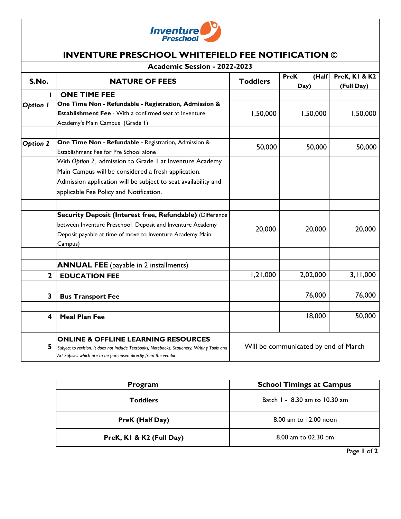

## **INVENTURE PRESCHOOL WHITEFIELD FEE NOTIFICATION ©**

| Academic Session - 2022-2023 |                                                                                                                                                                                                                    |                                      |                              |                                        |  |
|------------------------------|--------------------------------------------------------------------------------------------------------------------------------------------------------------------------------------------------------------------|--------------------------------------|------------------------------|----------------------------------------|--|
| S.No.                        | <b>NATURE OF FEES</b>                                                                                                                                                                                              | <b>Toddlers</b>                      | <b>PreK</b><br>(Half<br>Day) | <b>PreK, KI &amp; K2</b><br>(Full Day) |  |
| п                            | <b>ONE TIME FEE</b>                                                                                                                                                                                                |                                      |                              |                                        |  |
| Option I                     | One Time Non - Refundable - Registration, Admission &                                                                                                                                                              |                                      |                              |                                        |  |
|                              | Establishment Fee - With a confirmed seat at Inventure                                                                                                                                                             | 1,50,000                             | 1,50,000                     | 1,50,000                               |  |
|                              | Academy's Main Campus (Grade I)                                                                                                                                                                                    |                                      |                              |                                        |  |
|                              | One Time Non - Refundable - Registration, Admission &                                                                                                                                                              |                                      |                              |                                        |  |
| <b>Option 2</b>              | Establishment Fee for Pre School alone                                                                                                                                                                             | 50,000                               | 50,000                       | 50,000                                 |  |
|                              | With Option 2, admission to Grade I at Inventure Academy                                                                                                                                                           |                                      |                              |                                        |  |
|                              | Main Campus will be considered a fresh application.                                                                                                                                                                |                                      |                              |                                        |  |
|                              | Admission application will be subject to seat availability and                                                                                                                                                     |                                      |                              |                                        |  |
|                              | applicable Fee Policy and Notification.                                                                                                                                                                            |                                      |                              |                                        |  |
|                              | Security Deposit (Interest free, Refundable) (Difference                                                                                                                                                           |                                      |                              |                                        |  |
|                              | between Inventure Preschool Deposit and Inventure Academy                                                                                                                                                          | 20,000                               | 20,000                       | 20,000                                 |  |
|                              | Deposit payable at time of move to Inventure Academy Main                                                                                                                                                          |                                      |                              |                                        |  |
|                              | Campus)                                                                                                                                                                                                            |                                      |                              |                                        |  |
|                              |                                                                                                                                                                                                                    |                                      |                              |                                        |  |
|                              | <b>ANNUAL FEE</b> (payable in 2 installments)                                                                                                                                                                      |                                      |                              |                                        |  |
| $\mathbf{2}$                 | <b>EDUCATION FEE</b>                                                                                                                                                                                               | 1,21,000                             | 2,02,000                     | 3,11,000                               |  |
| 3                            |                                                                                                                                                                                                                    |                                      | 76,000                       | 76,000                                 |  |
|                              | <b>Bus Transport Fee</b>                                                                                                                                                                                           |                                      |                              |                                        |  |
| 4                            | <b>Meal Plan Fee</b>                                                                                                                                                                                               |                                      | 18,000                       | 50,000                                 |  |
|                              |                                                                                                                                                                                                                    |                                      |                              |                                        |  |
| 5                            | <b>ONLINE &amp; OFFLINE LEARNING RESOURCES</b><br>Subject to revision. It does not include Textbooks, Notebooks, Stationery, Writing Tools and<br>Art Supllies which are to be purchased directly from the vendor. | Will be communicated by end of March |                              |                                        |  |

| Program                  | <b>School Timings at Campus</b> |  |  |
|--------------------------|---------------------------------|--|--|
| <b>Toddlers</b>          | Batch 1 - 8.30 am to 10.30 am   |  |  |
| PreK (Half Day)          | 8.00 am to 12.00 noon           |  |  |
| PreK, KI & K2 (Full Day) | 8.00 am to 02.30 pm             |  |  |
|                          | r m<br>-                        |  |  |

Page **1** of **2**